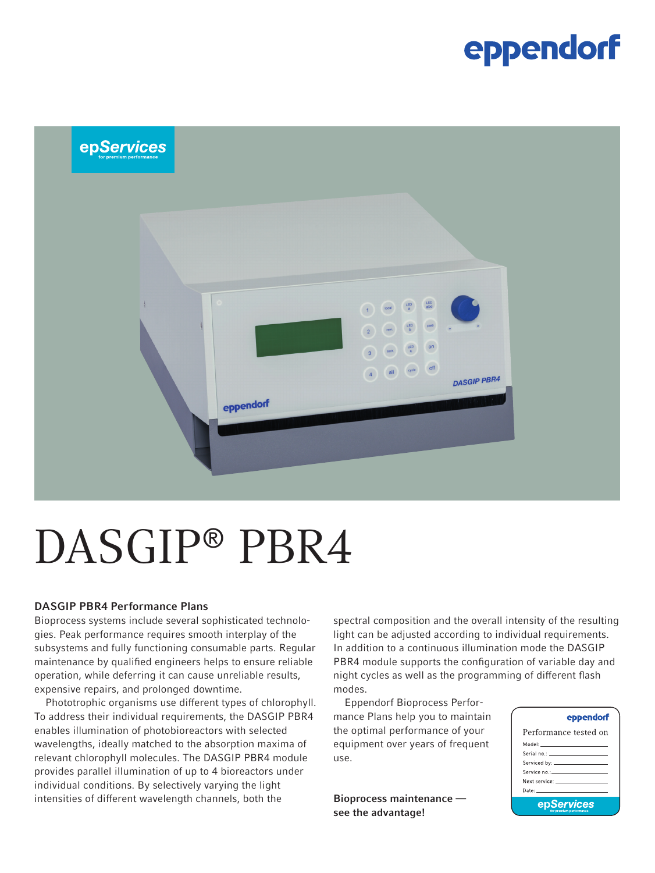### eppendorf



# DASGIP® PBR4

#### DASGIP PBR4 Performance Plans

Bioprocess systems include several sophisticated technologies. Peak performance requires smooth interplay of the subsystems and fully functioning consumable parts. Regular maintenance by qualified engineers helps to ensure reliable operation, while deferring it can cause unreliable results, expensive repairs, and prolonged downtime.

Phototrophic organisms use different types of chlorophyll. To address their individual requirements, the DASGIP PBR4 enables illumination of photobioreactors with selected wavelengths, ideally matched to the absorption maxima of relevant chlorophyll molecules. The DASGIP PBR4 module provides parallel illumination of up to 4 bioreactors under individual conditions. By selectively varying the light intensities of different wavelength channels, both the

spectral composition and the overall intensity of the resulting light can be adjusted according to individual requirements. In addition to a continuous illumination mode the DASGIP PBR4 module supports the configuration of variable day and night cycles as well as the programming of different flash modes.

Eppendorf Bioprocess Performance Plans help you to maintain the optimal performance of your equipment over years of frequent use.

Bioprocess maintenance see the advantage!

#### eppendorf

| Performance tested on                                                                                           |  |  |  |  |
|-----------------------------------------------------------------------------------------------------------------|--|--|--|--|
| Model: _____________________                                                                                    |  |  |  |  |
|                                                                                                                 |  |  |  |  |
|                                                                                                                 |  |  |  |  |
|                                                                                                                 |  |  |  |  |
|                                                                                                                 |  |  |  |  |
| Date: The Committee of the Committee of the Committee of the Committee of the Committee of the Committee of the |  |  |  |  |
| epServices                                                                                                      |  |  |  |  |